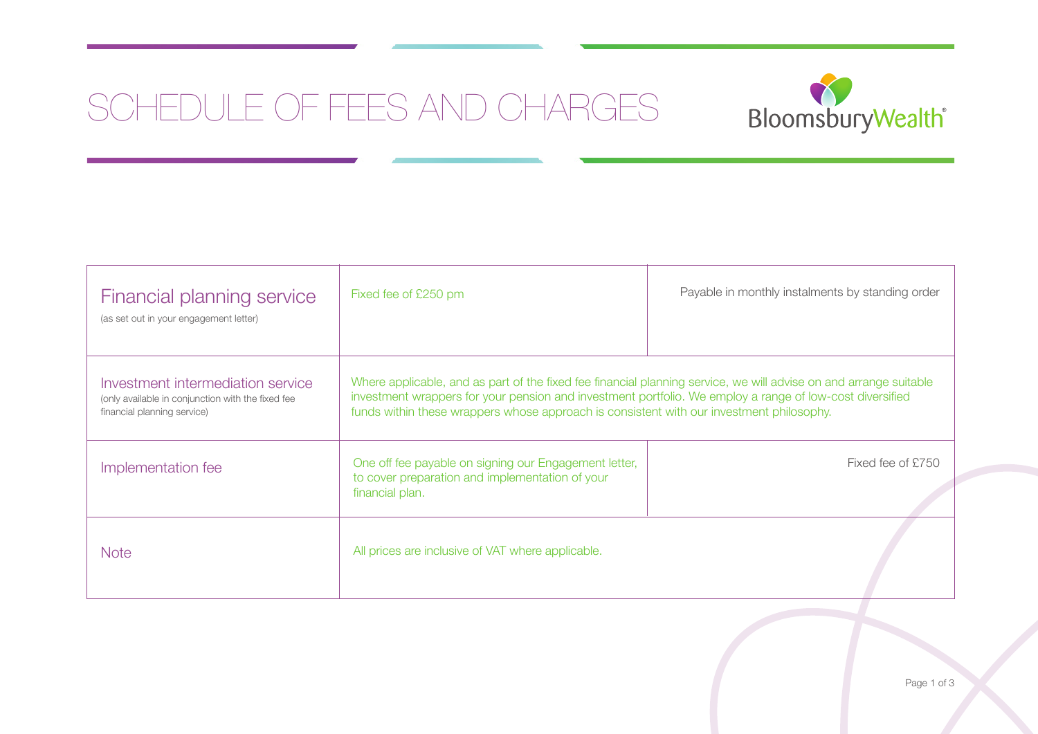# SCHEDULE OF FEES AND CHARGES SCHEDULE OF FEES AND CHARGES



| Financial planning service<br>(as set out in your engagement letter)                                                  | Fixed fee of £250 pm                                                                                                                                                                                                                                                                                                      | Payable in monthly instalments by standing order |
|-----------------------------------------------------------------------------------------------------------------------|---------------------------------------------------------------------------------------------------------------------------------------------------------------------------------------------------------------------------------------------------------------------------------------------------------------------------|--------------------------------------------------|
| Investment intermediation service<br>(only available in conjunction with the fixed fee<br>financial planning service) | Where applicable, and as part of the fixed fee financial planning service, we will advise on and arrange suitable<br>investment wrappers for your pension and investment portfolio. We employ a range of low-cost diversified<br>funds within these wrappers whose approach is consistent with our investment philosophy. |                                                  |
| Implementation fee                                                                                                    | One off fee payable on signing our Engagement letter,<br>to cover preparation and implementation of your<br>financial plan.                                                                                                                                                                                               | Fixed fee of £750                                |
| <b>Note</b>                                                                                                           | All prices are inclusive of VAT where applicable.                                                                                                                                                                                                                                                                         |                                                  |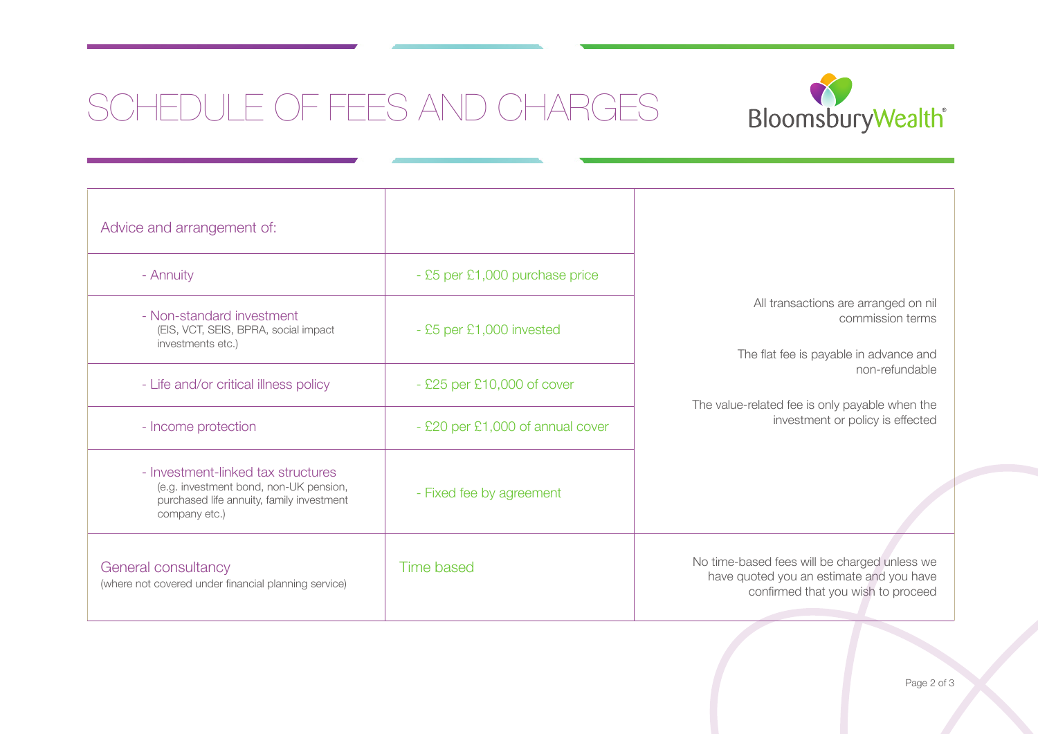# SCHEDULE OF FEES AND CHARGES SCHEDULE OF FEES AND CHARGES



| Advice and arrangement of:                                                                                                                 |                                  |                                                                                                                                                                                                            |
|--------------------------------------------------------------------------------------------------------------------------------------------|----------------------------------|------------------------------------------------------------------------------------------------------------------------------------------------------------------------------------------------------------|
| - Annuity                                                                                                                                  | - £5 per £1,000 purchase price   |                                                                                                                                                                                                            |
| - Non-standard investment<br>(EIS, VCT, SEIS, BPRA, social impact<br>investments etc.)                                                     | - £5 per £1,000 invested         | All transactions are arranged on nil<br>commission terms<br>The flat fee is payable in advance and<br>non-refundable<br>The value-related fee is only payable when the<br>investment or policy is effected |
| - Life and/or critical illness policy                                                                                                      | $-$ £25 per £10,000 of cover     |                                                                                                                                                                                                            |
| - Income protection                                                                                                                        | - £20 per £1,000 of annual cover |                                                                                                                                                                                                            |
| - Investment-linked tax structures<br>(e.g. investment bond, non-UK pension,<br>purchased life annuity, family investment<br>company etc.) | - Fixed fee by agreement         |                                                                                                                                                                                                            |
| General consultancy<br>(where not covered under financial planning service)                                                                | <b>Time based</b>                | No time-based fees will be charged unless we<br>have quoted you an estimate and you have<br>confirmed that you wish to proceed                                                                             |